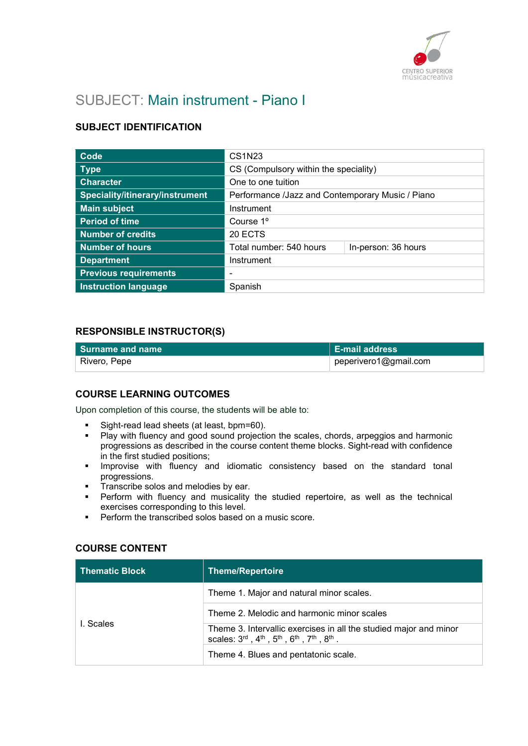

# SUBJECT: Main instrument - Piano I

# SUBJECT IDENTIFICATION

| <b>Code</b>                     | <b>CS1N23</b>                                    |                     |
|---------------------------------|--------------------------------------------------|---------------------|
| <b>Type</b>                     | CS (Compulsory within the speciality)            |                     |
| <b>Character</b>                | One to one tuition                               |                     |
| Speciality/itinerary/instrument | Performance /Jazz and Contemporary Music / Piano |                     |
| <b>Main subject</b>             | Instrument                                       |                     |
| <b>Period of time</b>           | Course 1 <sup>o</sup>                            |                     |
| <b>Number of credits</b>        | 20 ECTS                                          |                     |
| <b>Number of hours</b>          | Total number: 540 hours                          | In-person: 36 hours |
| <b>Department</b>               | Instrument                                       |                     |
| <b>Previous requirements</b>    | -                                                |                     |
| <b>Instruction language</b>     | Spanish                                          |                     |

## RESPONSIBLE INSTRUCTOR(S)

| l Surname and name | $\vert$ E-mail address |
|--------------------|------------------------|
| ⊦ Rivero, Pepe     | peperivero1@gmail.com  |

## COURSE LEARNING OUTCOMES

Upon completion of this course, the students will be able to:

- Sight-read lead sheets (at least, bpm=60).
- **Play with fluency and good sound projection the scales, chords, arpeggios and harmonic** progressions as described in the course content theme blocks. Sight-read with confidence in the first studied positions;
- **Improvise with fluency and idiomatic consistency based on the standard tonal** progressions.
- **Transcribe solos and melodies by ear.**
- Perform with fluency and musicality the studied repertoire, as well as the technical exercises corresponding to this level.
- **Perform the transcribed solos based on a music score.**

## COURSE CONTENT

| <b>Thematic Block</b> | <b>Theme/Repertoire</b>                                                                                                                        |
|-----------------------|------------------------------------------------------------------------------------------------------------------------------------------------|
| I. Scales             | Theme 1. Major and natural minor scales.                                                                                                       |
|                       | Theme 2. Melodic and harmonic minor scales                                                                                                     |
|                       | Theme 3. Intervallic exercises in all the studied major and minor<br>scales: $3^{rd}$ , $4^{th}$ , $5^{th}$ , $6^{th}$ , $7^{th}$ , $8^{th}$ . |
|                       | Theme 4. Blues and pentatonic scale.                                                                                                           |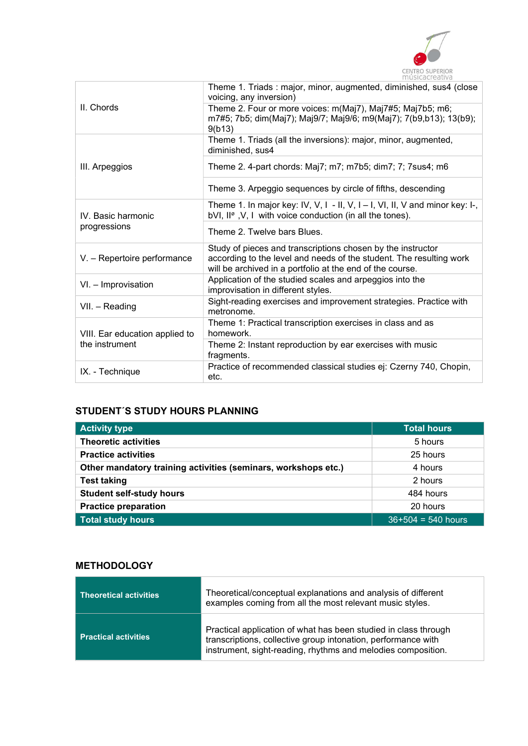

|                                                  | Theme 1. Triads: major, minor, augmented, diminished, sus4 (close<br>voicing, any inversion)                                                                                                    |
|--------------------------------------------------|-------------------------------------------------------------------------------------------------------------------------------------------------------------------------------------------------|
| II. Chords                                       | Theme 2. Four or more voices: m(Maj7), Maj7#5; Maj7b5; m6;<br>m7#5; 7b5; dim(Maj7); Maj9/7; Maj9/6; m9(Maj7); 7(b9,b13); 13(b9);<br>9(b13)                                                      |
|                                                  | Theme 1. Triads (all the inversions): major, minor, augmented,<br>diminished, sus4                                                                                                              |
| III. Arpeggios                                   | Theme 2. 4-part chords: Maj7; m7; m7b5; dim7; 7; 7sus4; m6                                                                                                                                      |
|                                                  | Theme 3. Arpeggio sequences by circle of fifths, descending                                                                                                                                     |
| IV. Basic harmonic<br>progressions               | Theme 1. In major key: IV, V, I - II, V, I - I, VI, II, V and minor key: I-,<br>bVI, II <sup>ø</sup> , V, I with voice conduction (in all the tones).                                           |
|                                                  | Theme 2. Twelve bars Blues.                                                                                                                                                                     |
| V. - Repertoire performance                      | Study of pieces and transcriptions chosen by the instructor<br>according to the level and needs of the student. The resulting work<br>will be archived in a portfolio at the end of the course. |
| VI. - Improvisation                              | Application of the studied scales and arpeggios into the<br>improvisation in different styles.                                                                                                  |
| VII. - Reading                                   | Sight-reading exercises and improvement strategies. Practice with<br>metronome.                                                                                                                 |
| VIII. Ear education applied to<br>the instrument | Theme 1: Practical transcription exercises in class and as<br>homework.                                                                                                                         |
|                                                  | Theme 2: Instant reproduction by ear exercises with music<br>fragments.                                                                                                                         |
| IX. - Technique                                  | Practice of recommended classical studies ej: Czerny 740, Chopin,<br>etc.                                                                                                                       |

# STUDENT´S STUDY HOURS PLANNING

| <b>Activity type</b>                                           | <b>Total hours</b>   |
|----------------------------------------------------------------|----------------------|
| <b>Theoretic activities</b>                                    | 5 hours              |
| <b>Practice activities</b>                                     | 25 hours             |
| Other mandatory training activities (seminars, workshops etc.) | 4 hours              |
| <b>Test taking</b>                                             | 2 hours              |
| <b>Student self-study hours</b>                                | 484 hours            |
| <b>Practice preparation</b>                                    | 20 hours             |
| <b>Total study hours</b>                                       | $36+504 = 540$ hours |

# **METHODOLOGY**

| Theoretical activities      | Theoretical/conceptual explanations and analysis of different<br>examples coming from all the most relevant music styles.                                                                        |
|-----------------------------|--------------------------------------------------------------------------------------------------------------------------------------------------------------------------------------------------|
| <b>Practical activities</b> | Practical application of what has been studied in class through<br>transcriptions, collective group intonation, performance with<br>instrument, sight-reading, rhythms and melodies composition. |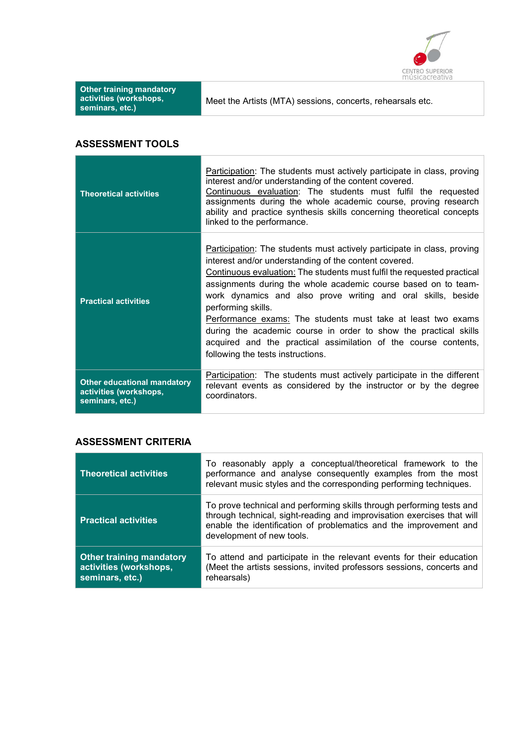

| <b>Other training mandatory</b><br>activities (workshops,<br>seminars, etc.) | Meet the Artists (MTA) sessions, concerts, rehearsals etc.                                                                                                                                                                                                                                                                                                                 |
|------------------------------------------------------------------------------|----------------------------------------------------------------------------------------------------------------------------------------------------------------------------------------------------------------------------------------------------------------------------------------------------------------------------------------------------------------------------|
| <b>ASSESSMENT TOOLS</b>                                                      |                                                                                                                                                                                                                                                                                                                                                                            |
| <b>Theoretical activities</b>                                                | Participation: The students must actively participate in class, proving<br>interest and/or understanding of the content covered.<br>Continuous evaluation: The students must fulfil the requested<br>assignments during the whole academic course, proving research<br>ability and practice synthesis skills concerning theoretical concepts<br>linked to the performance. |

| <b>Practical activities</b>        | Participation: The students must actively participate in class, proving<br>interest and/or understanding of the content covered.<br>Continuous evaluation: The students must fulfil the requested practical<br>assignments during the whole academic course based on to team-<br>work dynamics and also prove writing and oral skills, beside<br>performing skills.<br>Performance exams: The students must take at least two exams<br>during the academic course in order to show the practical skills<br>acquired and the practical assimilation of the course contents,<br>following the tests instructions. |
|------------------------------------|-----------------------------------------------------------------------------------------------------------------------------------------------------------------------------------------------------------------------------------------------------------------------------------------------------------------------------------------------------------------------------------------------------------------------------------------------------------------------------------------------------------------------------------------------------------------------------------------------------------------|
| <b>Other educational mandatory</b> | Participation: The students must actively participate in the different                                                                                                                                                                                                                                                                                                                                                                                                                                                                                                                                          |
| activities (workshops,             | relevant events as considered by the instructor or by the degree                                                                                                                                                                                                                                                                                                                                                                                                                                                                                                                                                |
| seminars, etc.)                    | coordinators.                                                                                                                                                                                                                                                                                                                                                                                                                                                                                                                                                                                                   |

# ASSESSMENT CRITERIA

| <b>Theoretical activities</b>                                                | To reasonably apply a conceptual/theoretical framework to the<br>performance and analyse consequently examples from the most<br>relevant music styles and the corresponding performing techniques.                                                |
|------------------------------------------------------------------------------|---------------------------------------------------------------------------------------------------------------------------------------------------------------------------------------------------------------------------------------------------|
| <b>Practical activities</b>                                                  | To prove technical and performing skills through performing tests and<br>through technical, sight-reading and improvisation exercises that will<br>enable the identification of problematics and the improvement and<br>development of new tools. |
| <b>Other training mandatory</b><br>activities (workshops,<br>seminars, etc.) | To attend and participate in the relevant events for their education<br>(Meet the artists sessions, invited professors sessions, concerts and<br>rehearsals)                                                                                      |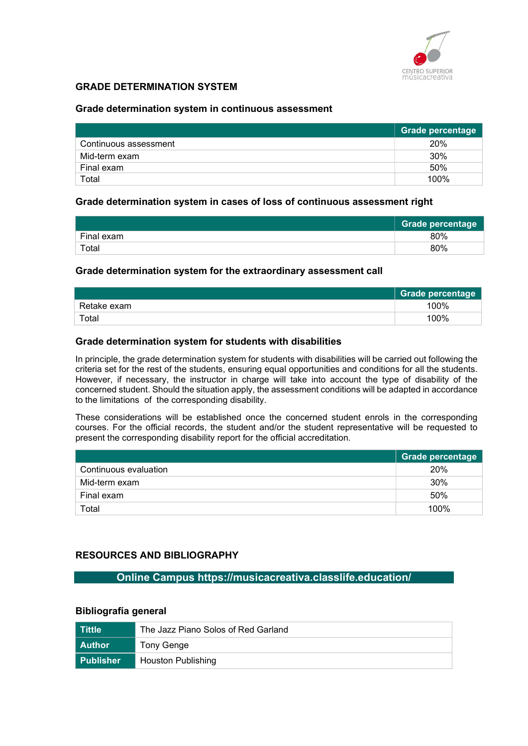

# GRADE DETERMINATION SYSTEM

#### Grade determination system in continuous assessment

|                       | <b>Grade percentage</b> |
|-----------------------|-------------------------|
| Continuous assessment | 20%                     |
| Mid-term exam         | 30%                     |
| Final exam            | 50%                     |
| Total                 | 100%                    |

#### Grade determination system in cases of loss of continuous assessment right

|            | <b>Grade percentage</b> |
|------------|-------------------------|
| Final exam | 80%                     |
| Total      | 80%                     |

#### Grade determination system for the extraordinary assessment call

|             | <b>Grade percentage</b> |
|-------------|-------------------------|
| Retake exam | 100%                    |
| Total       | 100%                    |

#### Grade determination system for students with disabilities

In principle, the grade determination system for students with disabilities will be carried out following the criteria set for the rest of the students, ensuring equal opportunities and conditions for all the students. However, if necessary, the instructor in charge will take into account the type of disability of the concerned student. Should the situation apply, the assessment conditions will be adapted in accordance to the limitations of the corresponding disability.

These considerations will be established once the concerned student enrols in the corresponding courses. For the official records, the student and/or the student representative will be requested to present the corresponding disability report for the official accreditation.

|                       | Grade percentage |
|-----------------------|------------------|
| Continuous evaluation | 20%              |
| Mid-term exam         | 30%              |
| Final exam            | 50%              |
| Total                 | 100%             |

## RESOURCES AND BIBLIOGRAPHY

Online Campus https://musicacreativa.classlife.education/

# Bibliografía general

| ⊾Tittle \     | The Jazz Piano Solos of Red Garland |
|---------------|-------------------------------------|
| <b>Author</b> | Tony Genge                          |
| l Publisher   | <b>Houston Publishing</b>           |